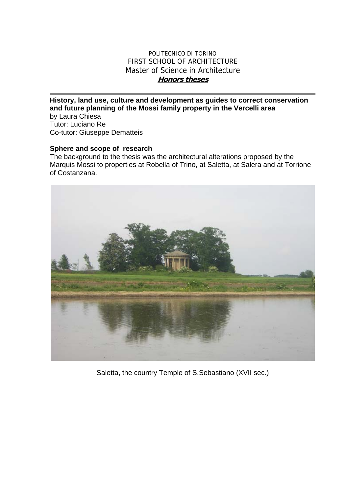## POLITECNICO DI TORINO FIRST SCHOOL OF ARCHITECTURE Master of Science in Architecture **Honors theses**

**History, land use, culture and development as guides to correct conservation and future planning of the Mossi family property in the Vercelli area**  by Laura Chiesa

Tutor: Luciano Re Co-tutor: Giuseppe Dematteis

## **Sphere and scope of research**

The background to the thesis was the architectural alterations proposed by the Marquis Mossi to properties at Robella of Trino, at Saletta, at Salera and at Torrione of Costanzana.



Saletta, the country Temple of S.Sebastiano (XVII sec.)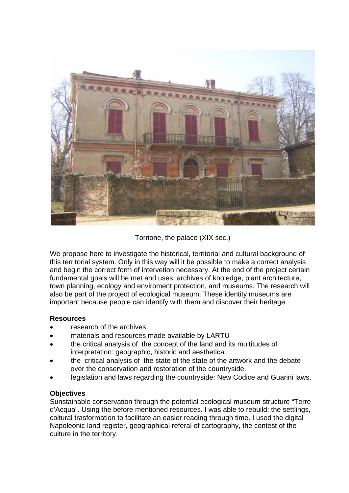

Torrione, the palace (XIX sec.)

We propose here to investigate the historical, territorial and cultural background of this territorial system. Only in this way will it be possible to make a correct analysis and begin the correct form of intervetion necessary. At the end of the project certain fundamental goals will be met and uses: archives of knoledge, plant architecture, town planning, ecology and enviroment protection, and museums. The research will also be part of the project of ecological museum. These identity museums are important because people can identify with them and discover their heritage.

## **Resources**

- research of the archives
- materials and resources made available by LARTU
- the critical analysis of the concept of the land and its multitudes of interpretation: geographic, historic and aesthetical.
- the critical analysis of the state of the state of the artwork and the debate over the conservation and restoration of the countryside.
- legislation and laws regarding the countryside: New Codice and Guarini laws.

## **Objectives**

Sunstainable conservation through the potential ecological museum structure "Terre d'Acqua". Using the before mentioned resources. I was able to rebuild: the settlings, coltural trasformation to facilitate an easier reading through time. I used the digital Napoleonic land register, geographical referal of cartography, the contest of the culture in the territory.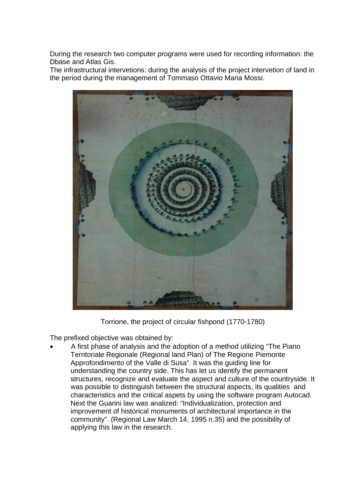During the research two computer programs were used for recording information: the Dbase and Atlas Gis.

The infrastructural intervetions: during the analysis of the project intervetion of land in the period during the management of Tommaso Ottavio Maria Mossi.



Torrione, the project of circular fishpond (1770-1780)

The prefixed objective was obtained by:

• A first phase of analysis and the adoption of a method utilizing "The Piano Territoriale Regionale (Regional land Plan) of The Regione Piemonte Approfondimento of the Valle di Susa". It was the guiding line for understanding the country side. This has let us identify the permanent structures, recognize and evaluate the aspect and culture of the countryside. It was possible to distinguish between the structural aspects, its qualities and characteristics and the critical aspets by using the software program Autocad. Next the Guarini law was analized: "Individualization, protection and improvement of historical monuments of architectural importance in the community". (Regional Law March 14, 1995 n.35) and the possibility of applying this law in the research.